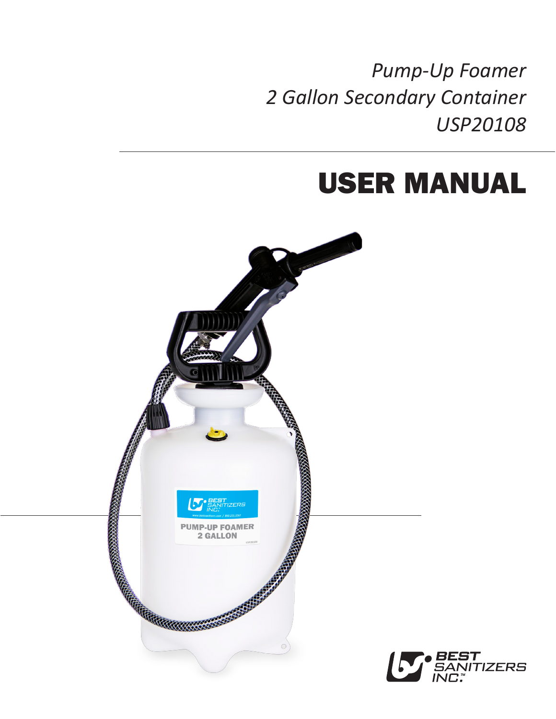*Pump-Up Foamer 2 Gallon Secondary Container USP20108*

# USER MANUAL

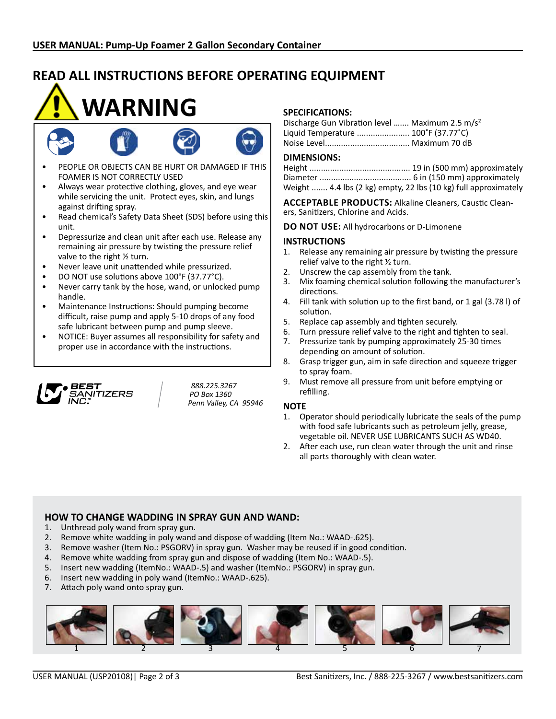## **READ ALL INSTRUCTIONS BEFORE OPERATING EQUIPMENT**

# **WARNING**



- PEOPLE OR OBJECTS CAN BE HURT OR DAMAGED IF THIS FOAMER IS NOT CORRECTLY USED
- Always wear protective clothing, gloves, and eye wear while servicing the unit. Protect eyes, skin, and lungs against drifting spray.
- • Read chemical's Safety Data Sheet (SDS) before using this unit.
- Depressurize and clean unit after each use. Release any remaining air pressure by twisting the pressure relief valve to the right ½ turn.
- • Never leave unit unattended while pressurized.
- DO NOT use solutions above 100°F (37.77°C).
- Never carry tank by the hose, wand, or unlocked pump handle.
- Maintenance Instructions: Should pumping become difficult, raise pump and apply 5-10 drops of any food safe lubricant between pump and pump sleeve.
- NOTICE: Buyer assumes all responsibility for safety and proper use in accordance with the instructions.



888.225.3267 PO Box 1360 Penn Valley, CA 95946

### **SPECIFICATIONS:**

| Discharge Gun Vibration level  Maximum 2.5 m/s <sup>2</sup> |  |
|-------------------------------------------------------------|--|
| Liquid Temperature  100°F (37.77°C)                         |  |
|                                                             |  |

#### **DIMENSIONS:**

Height ............................................ 19 in (500 mm) approximately Diameter ........................................ 6 in (150 mm) approximately Weight ....... 4.4 lbs (2 kg) empty, 22 lbs (10 kg) full approximately

**Acceptable Products:** Alkaline Cleaners, Caustic Cleaners, Sanitizers, Chlorine and Acids.

**DO NOT USE:** All hydrocarbons or D-Limonene

#### **INSTRUCTIONS**

- 1. Release any remaining air pressure by twisting the pressure relief valve to the right ½ turn.
- 2. Unscrew the cap assembly from the tank.
- 3. Mix foaming chemical solution following the manufacturer's directions.
- 4. Fill tank with solution up to the first band, or 1 gal (3.78 l) of solution.
- 5. Replace cap assembly and tighten securely.
- 6. Turn pressure relief valve to the right and tighten to seal.
- 7. Pressurize tank by pumping approximately 25-30 times depending on amount of solution.
- 8. Grasp trigger gun, aim in safe direction and squeeze trigger to spray foam.
- 9. Must remove all pressure from unit before emptying or refilling.

#### **NOTE**

- 1. Operator should periodically lubricate the seals of the pump with food safe lubricants such as petroleum jelly, grease, vegetable oil. NEVER USE LUBRICANTS SUCH AS WD40.
- 2. After each use, run clean water through the unit and rinse all parts thoroughly with clean water.

### **HOW TO CHANGE WADDING IN SPRAY GUN AND WAND:**

- 1. Unthread poly wand from spray gun.
- 2. Remove white wadding in poly wand and dispose of wadding (Item No.: WAAD-.625).
- 3. Remove washer (Item No.: PSGORV) in spray gun. Washer may be reused if in good condition.
- 4. Remove white wadding from spray gun and dispose of wadding (Item No.: WAAD-.5).
- 5. Insert new wadding (ItemNo.: WAAD-.5) and washer (ItemNo.: PSGORV) in spray gun.
- 6. Insert new wadding in poly wand (ItemNo.: WAAD-.625).
- 7. Attach poly wand onto spray gun.